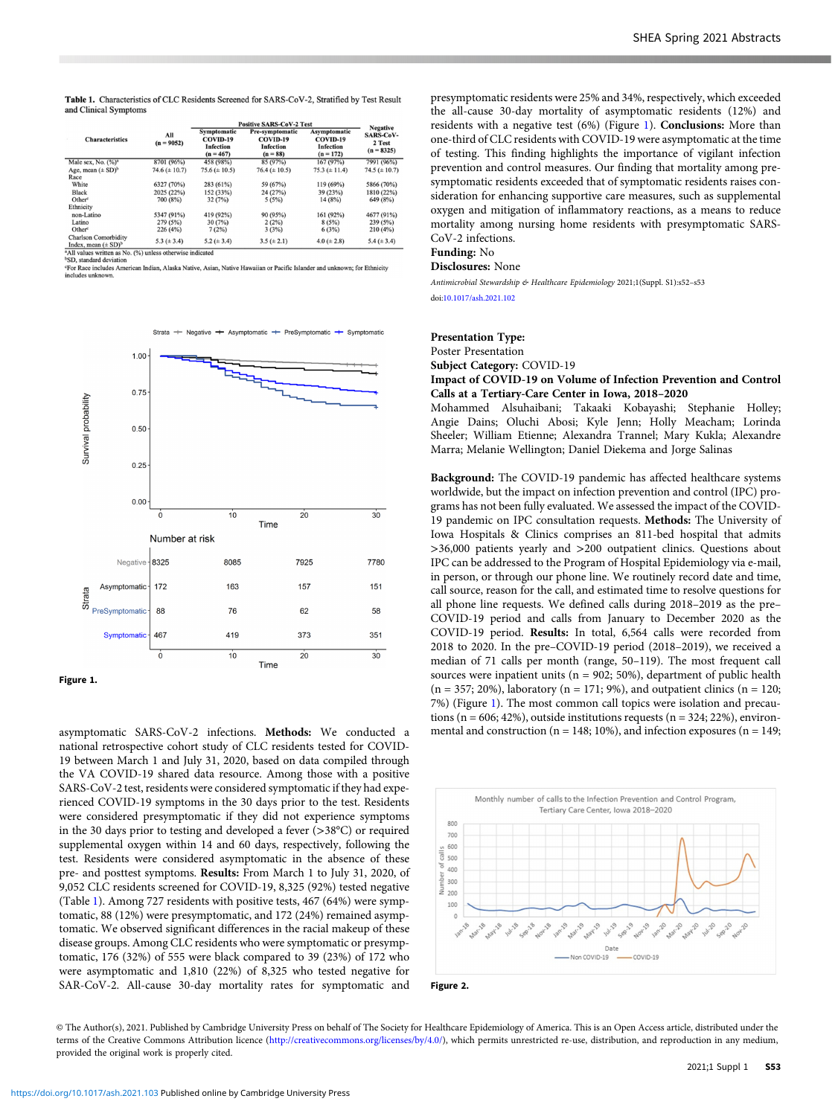Table 1. Characteristics of CLC Residents Screened for SARS-CoV-2, Stratified by Test Result and Clinical Symptom:

| <b>Characteristics</b>                                                                                       | All<br>$(n = 9052)$ | <b>Positive SARS-CoV-2 Test</b>                            |                                                               |                                                             | <b>Negative</b>                            |
|--------------------------------------------------------------------------------------------------------------|---------------------|------------------------------------------------------------|---------------------------------------------------------------|-------------------------------------------------------------|--------------------------------------------|
|                                                                                                              |                     | Symptomatic<br>COVID-19<br><b>Infection</b><br>$(n = 467)$ | Pre-symptomatic<br>COVID-19<br><b>Infection</b><br>$(n = 88)$ | Asymptomatic<br>COVID-19<br><b>Infection</b><br>$(n = 172)$ | <b>SARS-CoV-</b><br>2 Test<br>$(n = 8325)$ |
| Male sex, No. (%) <sup>a</sup>                                                                               | 8701 (96%)          | 458 (98%)                                                  | 85 (97%)                                                      | 167(97%)                                                    | 7991 (96%)                                 |
| Age, mean $(\pm SD)^b$                                                                                       | 74.6 $(\pm 10.7)$   | $75.6 (\pm 10.5)$                                          | $76.4 (\pm 10.5)$                                             | 75.3 $(\pm 11.4)$                                           | 74.5 ( $\pm$ 10.7)                         |
| Race                                                                                                         |                     |                                                            |                                                               |                                                             |                                            |
| White                                                                                                        | 6327 (70%)          | 283 (61%)                                                  | 59 (67%)                                                      | 119 (69%)                                                   | 5866 (70%)                                 |
| Black                                                                                                        | 2025 (22%)          | 152 (33%)                                                  | 24 (27%)                                                      | 39 (23%)                                                    | 1810 (22%)                                 |
| Other <sup>c</sup>                                                                                           | 700 (8%)            | 32(7%)                                                     | 5(5%)                                                         | 14(8%)                                                      | 649 (8%)                                   |
| Ethnicity                                                                                                    |                     |                                                            |                                                               |                                                             |                                            |
| non-Latino                                                                                                   | 5347 (91%)          | 419 (92%)                                                  | 90 (95%)                                                      | 161 (92%)                                                   | 4677 (91%)                                 |
| Latino                                                                                                       | 279 (5%)            | 30(7%)                                                     | 2(2%)                                                         | 8(5%)                                                       | 239 (5%)                                   |
| Other <sup>c</sup>                                                                                           | 226(4%)             | 7(2%)                                                      | 3(3%)                                                         | 6(3%)                                                       | 210(4%)                                    |
| <b>Charlson Comorbidity</b><br>Index, mean $(\pm SD)^b$                                                      | 5.3 $(\pm 3.4)$     | 5.2 ( $\pm$ 3.4)                                           | $3.5 (\pm 2.1)$                                               | $4.0 (\pm 2.8)$                                             | 5.4 $(\pm 3.4)$                            |
| <sup>a</sup> All values written as No. (%) unless otherwise indicated<br><sup>b</sup> SD, standard deviation |                     |                                                            |                                                               |                                                             |                                            |

<sup>b</sup>SD, standard deviation<br>For Race includes American Indian, Alaska Native, Asian, Native Hawaiian or Pacific Islander and unknown; for Ethnicity<br>includes unknown.



asymptomatic SARS-CoV-2 infections. Methods: We conducted a national retrospective cohort study of CLC residents tested for COVID-19 between March 1 and July 31, 2020, based on data compiled through the VA COVID-19 shared data resource. Among those with a positive SARS-CoV-2 test, residents were considered symptomatic if they had experienced COVID-19 symptoms in the 30 days prior to the test. Residents were considered presymptomatic if they did not experience symptoms in the 30 days prior to testing and developed a fever (>38°C) or required supplemental oxygen within 14 and 60 days, respectively, following the test. Residents were considered asymptomatic in the absence of these pre- and posttest symptoms. Results: From March 1 to July 31, 2020, of 9,052 CLC residents screened for COVID-19, 8,325 (92%) tested negative (Table 1). Among 727 residents with positive tests, 467 (64%) were symptomatic, 88 (12%) were presymptomatic, and 172 (24%) remained asymptomatic. We observed significant differences in the racial makeup of these disease groups. Among CLC residents who were symptomatic or presymptomatic, 176 (32%) of 555 were black compared to 39 (23%) of 172 who were asymptomatic and 1,810 (22%) of 8,325 who tested negative for SAR-CoV-2. All-cause 30-day mortality rates for symptomatic and

presymptomatic residents were 25% and 34%, respectively, which exceeded the all-cause 30-day mortality of asymptomatic residents (12%) and residents with a negative test (6%) (Figure 1). Conclusions: More than one-third of CLC residents with COVID-19 were asymptomatic at the time of testing. This finding highlights the importance of vigilant infection prevention and control measures. Our finding that mortality among presymptomatic residents exceeded that of symptomatic residents raises consideration for enhancing supportive care measures, such as supplemental oxygen and mitigation of inflammatory reactions, as a means to reduce mortality among nursing home residents with presymptomatic SARS-CoV-2 infections.

## Funding: No

Disclosures: None

Antimicrobial Stewardship & Healthcare Epidemiology 2021;1(Suppl. S1):s52–s53 doi[:10.1017/ash.2021.102](https://doi.org/10.1017/ash.2021.102)

#### Presentation Type:

Poster Presentation

Subject Category: COVID-19

#### Impact of COVID-19 on Volume of Infection Prevention and Control Calls at a Tertiary-Care Center in Iowa, 2018–2020

Mohammed Alsuhaibani; Takaaki Kobayashi; Stephanie Holley; Angie Dains; Oluchi Abosi; Kyle Jenn; Holly Meacham; Lorinda Sheeler; William Etienne; Alexandra Trannel; Mary Kukla; Alexandre Marra; Melanie Wellington; Daniel Diekema and Jorge Salinas

Background: The COVID-19 pandemic has affected healthcare systems worldwide, but the impact on infection prevention and control (IPC) programs has not been fully evaluated. We assessed the impact of the COVID-19 pandemic on IPC consultation requests. Methods: The University of Iowa Hospitals & Clinics comprises an 811-bed hospital that admits >36,000 patients yearly and >200 outpatient clinics. Questions about IPC can be addressed to the Program of Hospital Epidemiology via e-mail, in person, or through our phone line. We routinely record date and time, call source, reason for the call, and estimated time to resolve questions for all phone line requests. We defined calls during 2018–2019 as the pre– COVID-19 period and calls from January to December 2020 as the COVID-19 period. Results: In total, 6,564 calls were recorded from 2018 to 2020. In the pre–COVID-19 period (2018–2019), we received a median of 71 calls per month (range, 50–119). The most frequent call sources were inpatient units ( $n = 902$ ; 50%), department of public health  $(n = 357; 20\%)$ , laboratory  $(n = 171; 9\%)$ , and outpatient clinics  $(n = 120;$ 7%) (Figure 1). The most common call topics were isolation and precautions (n = 606; 42%), outside institutions requests (n = 324; 22%), environmental and construction ( $n = 148$ ; 10%), and infection exposures ( $n = 149$ ;



Figure 2.

© The Author(s), 2021. Published by Cambridge University Press on behalf of The Society for Healthcare Epidemiology of America. This is an Open Access article, distributed under the terms of the Creative Commons Attribution licence (http://creativecommons.org/licenses/by/4.0/), which permits unrestricted re-use, distribution, and reproduction in any medium, provided the original work is properly cited.